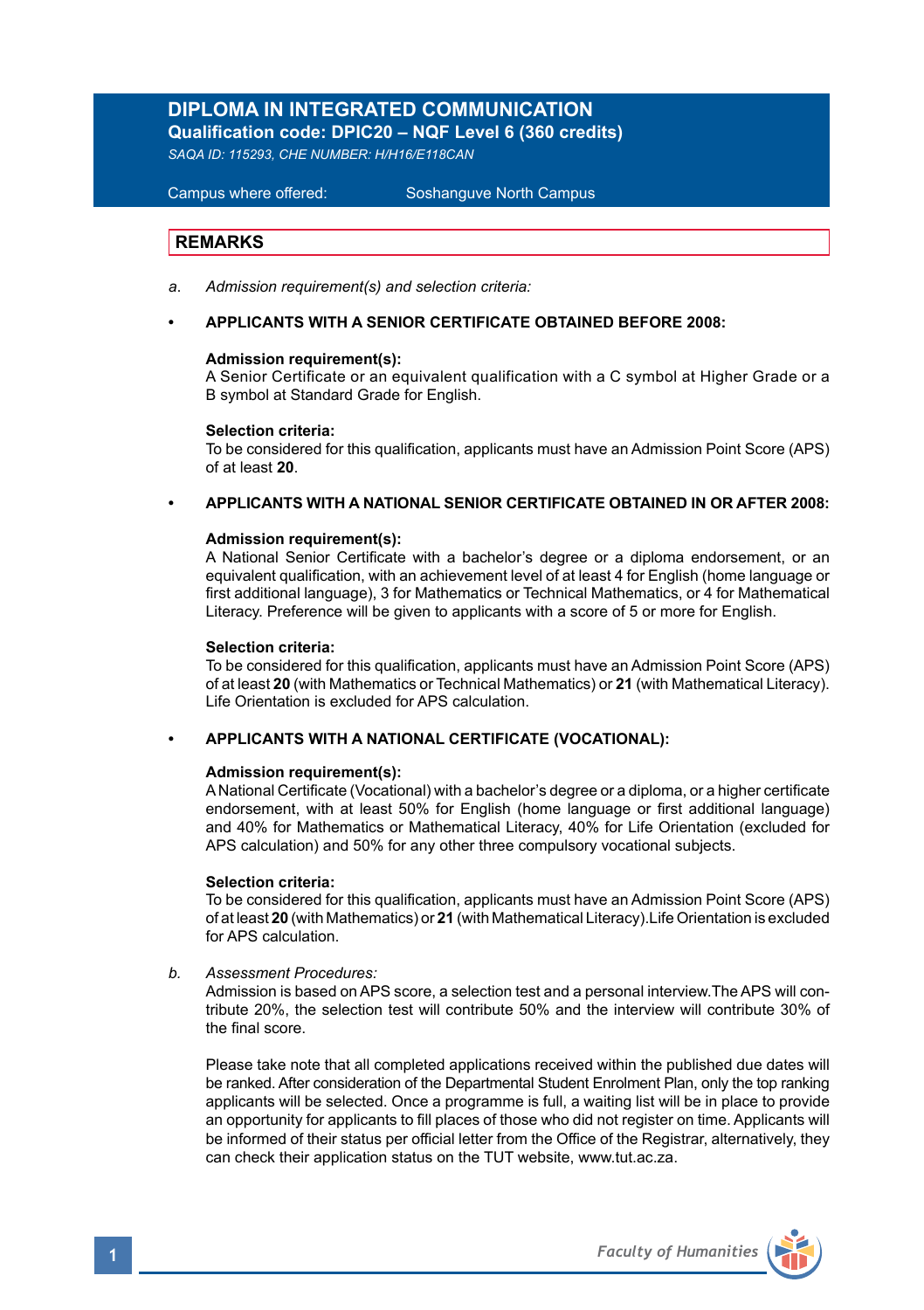# **DIPLOMA IN INTEGRATED COMMUNICATION Qualification code: DPIC20 – NQF Level 6 (360 credits)**

*SAQA ID: 115293, CHE NUMBER: H/H16/E118CAN*

#### **Campus where offered:**

Soshanguve North Campus

# **REMARKS**

*a*. *Admission requirement(s) and selection criteria:*

#### **• APPLICANTS WITH A SENIOR CERTIFICATE OBTAINED BEFORE 2008:**

#### **Admission requirement(s):**

A Senior Certificate or an equivalent qualification with a C symbol at Higher Grade or a B symbol at Standard Grade for English.

#### **Selection criteria:**

To be considered for this qualification, applicants must have an Admission Point Score (APS) of at least **20**.

#### **• APPLICANTS WITH A NATIONAL SENIOR CERTIFICATE OBTAINED IN OR AFTER 2008:**

#### **Admission requirement(s):**

A National Senior Certificate with a bachelor's degree or a diploma endorsement, or an equivalent qualification, with an achievement level of at least 4 for English (home language or first additional language), 3 for Mathematics or Technical Mathematics, or 4 for Mathematical Literacy. Preference will be given to applicants with a score of 5 or more for English.

#### **Selection criteria:**

To be considered for this qualification, applicants must have an Admission Point Score (APS) of at least **20** (with Mathematics or Technical Mathematics) or **21** (with Mathematical Literacy). Life Orientation is excluded for APS calculation.

#### **• APPLICANTS WITH A NATIONAL CERTIFICATE (VOCATIONAL):**

#### **Admission requirement(s):**

A National Certificate (Vocational) with a bachelor's degree or a diploma, or a higher certificate endorsement, with at least 50% for English (home language or first additional language) and 40% for Mathematics or Mathematical Literacy, 40% for Life Orientation (excluded for APS calculation) and 50% for any other three compulsory vocational subjects.

#### **Selection criteria:**

To be considered for this qualification, applicants must have an Admission Point Score (APS) of at least **20** (with Mathematics) or **21** (with Mathematical Literacy).Life Orientation is excluded for APS calculation.

*b. Assessment Procedures:* 

Admission is based on APS score, a selection test and a personal interview.The APS will contribute 20%, the selection test will contribute 50% and the interview will contribute 30% of the final score.

Please take note that all completed applications received within the published due dates will be ranked. After consideration of the Departmental Student Enrolment Plan, only the top ranking applicants will be selected. Once a programme is full, a waiting list will be in place to provide an opportunity for applicants to fill places of those who did not register on time. Applicants will be informed of their status per official letter from the Office of the Registrar, alternatively, they can check their application status on the TUT website, www.tut.ac.za.

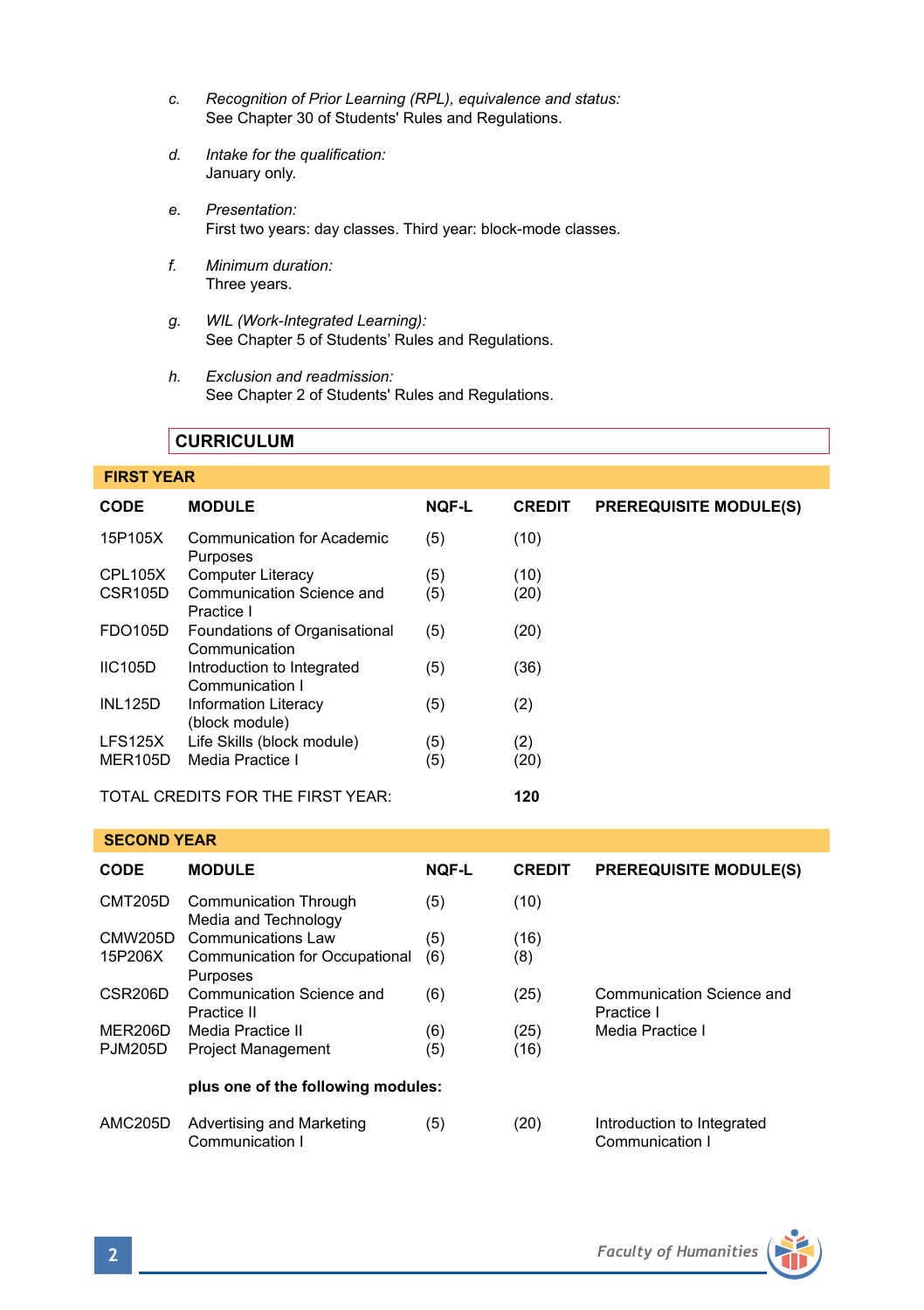- *c. Recognition of Prior Learning (RPL), equivalence and status:* See Chapter 30 of Students' Rules and Regulations.
- *d. Intake for the qualification:* January only.
- *e. Presentation:* First two years: day classes. Third year: block-mode classes.
- *f. Minimum duration:* Three years.
- *g. WIL (Work-Integrated Learning):* See Chapter 5 of Students' Rules and Regulations.
- *h. Exclusion and readmission:* See Chapter 2 of Students' Rules and Regulations.

# **CURRICULUM**

# **FIRST YEAR**

| <b>CODE</b>          | <b>MODULE</b>                                  | <b>NOF-L</b> | <b>CREDIT</b> | <b>PREREQUISITE MODULE(S)</b> |
|----------------------|------------------------------------------------|--------------|---------------|-------------------------------|
| 15P105X              | Communication for Academic<br>Purposes         | (5)          | (10)          |                               |
| CPL105X              | <b>Computer Literacy</b>                       | (5)          | (10)          |                               |
| CSR <sub>105</sub> D | Communication Science and<br>Practice I        | (5)          | (20)          |                               |
| <b>FDO105D</b>       | Foundations of Organisational<br>Communication | (5)          | (20)          |                               |
| <b>IIC105D</b>       | Introduction to Integrated<br>Communication I  | (5)          | (36)          |                               |
| <b>INL125D</b>       | Information Literacy<br>(block module)         | (5)          | (2)           |                               |
| LFS125X              | Life Skills (block module)                     | (5)          | (2)           |                               |
| <b>MER105D</b>       | Media Practice I                               | (5)          | (20)          |                               |
|                      | TOTAL CREDITS FOR THE FIRST YEAR:              | 120          |               |                               |

#### **SECOND YEAR**

| <b>CODE</b>          | <b>MODULE</b>                                 | <b>NQF-L</b> | <b>CREDIT</b> | <b>PREREQUISITE MODULE(S)</b>                 |  |  |  |
|----------------------|-----------------------------------------------|--------------|---------------|-----------------------------------------------|--|--|--|
| <b>CMT205D</b>       | Communication Through<br>Media and Technology | (5)          | (10)          |                                               |  |  |  |
| CMW205D              | Communications Law                            | (5)          | (16)          |                                               |  |  |  |
| 15P206X              | Communication for Occupational<br>Purposes    | (6)          | (8)           |                                               |  |  |  |
| CSR <sub>206</sub> D | Communication Science and<br>Practice II      | (6)          | (25)          | Communication Science and<br>Practice I       |  |  |  |
| MER206D              | Media Practice II                             | (6)          | (25)          | Media Practice I                              |  |  |  |
| <b>PJM205D</b>       | <b>Project Management</b>                     | (5)          | (16)          |                                               |  |  |  |
|                      | plus one of the following modules:            |              |               |                                               |  |  |  |
| AMC205D              | Advertising and Marketing<br>Communication I  | (5)          | (20)          | Introduction to Integrated<br>Communication I |  |  |  |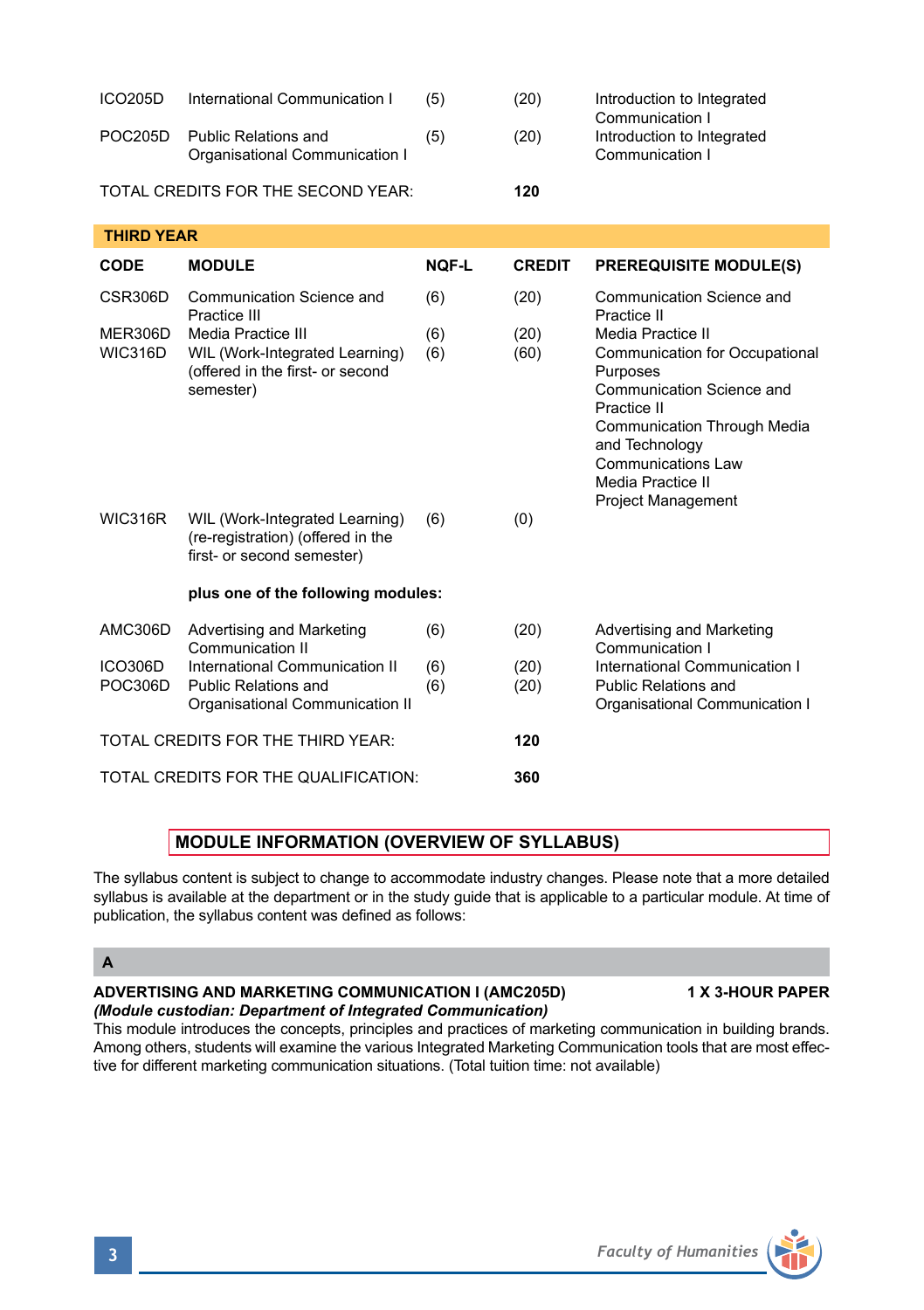| ICO <sub>205</sub> D               | International Communication I                                                                         | (5)          | (20)          | Introduction to Integrated<br>Communication I                                                                                                                                                                                        |  |  |  |  |
|------------------------------------|-------------------------------------------------------------------------------------------------------|--------------|---------------|--------------------------------------------------------------------------------------------------------------------------------------------------------------------------------------------------------------------------------------|--|--|--|--|
| <b>POC205D</b>                     | <b>Public Relations and</b><br>Organisational Communication I                                         | (5)          | (20)          | Introduction to Integrated<br>Communication I                                                                                                                                                                                        |  |  |  |  |
| TOTAL CREDITS FOR THE SECOND YEAR: |                                                                                                       |              | 120           |                                                                                                                                                                                                                                      |  |  |  |  |
| <b>THIRD YEAR</b>                  |                                                                                                       |              |               |                                                                                                                                                                                                                                      |  |  |  |  |
| CODE                               | <b>MODULE</b>                                                                                         | <b>NOF-L</b> | <b>CREDIT</b> | <b>PREREQUISITE MODULE(S)</b>                                                                                                                                                                                                        |  |  |  |  |
| CSR306D                            | Communication Science and<br>Practice III                                                             | (6)          | (20)          | Communication Science and<br>Practice II                                                                                                                                                                                             |  |  |  |  |
| MER306D<br>WIC316D                 | Media Practice III<br>WIL (Work-Integrated Learning)<br>(offered in the first- or second<br>semester) | (6)<br>(6)   | (20)<br>(60)  | Media Practice II<br>Communication for Occupational<br>Purposes<br>Communication Science and<br>Practice II<br>Communication Through Media<br>and Technology<br>Communications Law<br>Media Practice II<br><b>Project Management</b> |  |  |  |  |
| <b>WIC316R</b>                     | WIL (Work-Integrated Learning)<br>(re-registration) (offered in the<br>first- or second semester)     | (6)          | (0)           |                                                                                                                                                                                                                                      |  |  |  |  |
|                                    | plus one of the following modules:                                                                    |              |               |                                                                                                                                                                                                                                      |  |  |  |  |
| <b>AMC306D</b>                     | Advertising and Marketing<br>Communication II                                                         | (6)          | (20)          | Advertising and Marketing<br>Communication I                                                                                                                                                                                         |  |  |  |  |
| <b>ICO306D</b><br><b>POC306D</b>   | International Communication II<br>Public Relations and<br>Organisational Communication II             | (6)<br>(6)   | (20)<br>(20)  | International Communication I<br>Public Relations and<br>Organisational Communication I                                                                                                                                              |  |  |  |  |
|                                    | TOTAL CREDITS FOR THE THIRD YEAR:                                                                     | 120          |               |                                                                                                                                                                                                                                      |  |  |  |  |
|                                    | TOTAL CREDITS FOR THE QUALIFICATION:                                                                  | 360          |               |                                                                                                                                                                                                                                      |  |  |  |  |

# **MODULE INFORMATION (OVERVIEW OF SYLLABUS)**

The syllabus content is subject to change to accommodate industry changes. Please note that a more detailed syllabus is available at the department or in the study quide that is applicable to a particular module. At time of publication, the syllabus content was defined as follows:

# **A**

### **ADVERTISING AND MARKETING COMMUNICATION I (AMC205D) 1 X 3-HOUR PAPER** *(Module custodian: Department of Integrated Communication)*

This module introduces the concepts, principles and practices of marketing communication in building brands. Among others, students will examine the various Integrated Marketing Communication tools that are most effective for different marketing communication situations. (Total tuition time: not available)

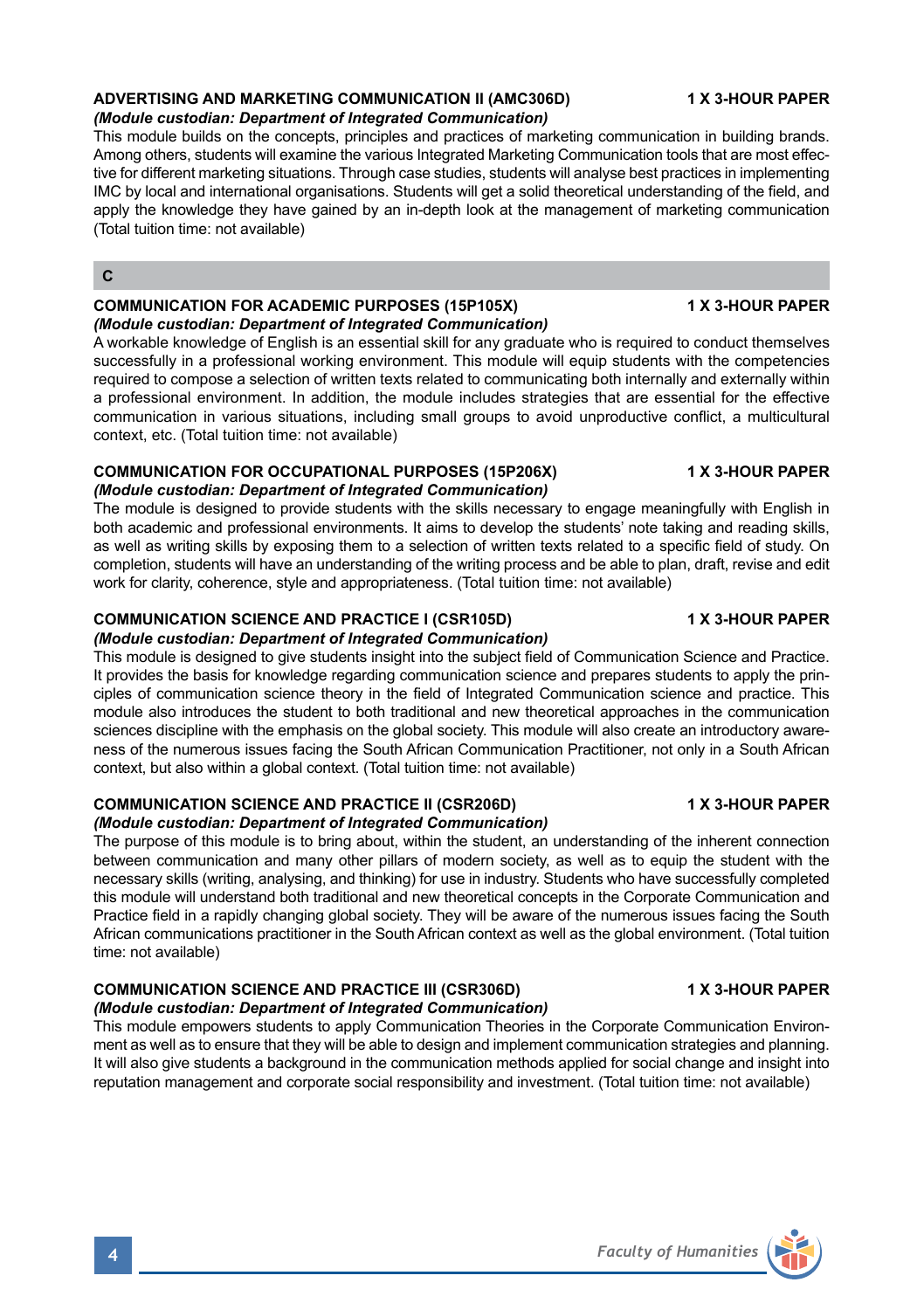# **ADVERTISING AND MARKETING COMMUNICATION II (AMC306D) 1 X 3-HOUR PAPER**

### *(Module custodian: Department of Integrated Communication)*

This module builds on the concepts, principles and practices of marketing communication in building brands. Among others, students will examine the various Integrated Marketing Communication tools that are most effective for different marketing situations. Through case studies, students will analyse best practices in implementing IMC by local and international organisations. Students will get a solid theoretical understanding of the field, and apply the knowledge they have gained by an in-depth look at the management of marketing communication (Total tuition time: not available)

### **C**

### **COMMUNICATION FOR ACADEMIC PURPOSES (15P105X) 1 X 3-HOUR PAPER** *(Module custodian: Department of Integrated Communication)*

A workable knowledge of English is an essential skill for any graduate who is required to conduct themselves successfully in a professional working environment. This module will equip students with the competencies required to compose a selection of written texts related to communicating both internally and externally within a professional environment. In addition, the module includes strategies that are essential for the effective communication in various situations, including small groups to avoid unproductive conflict, a multicultural context, etc. (Total tuition time: not available)

#### **COMMUNICATION FOR OCCUPATIONAL PURPOSES (15P206X) 1 X 3-HOUR PAPER** *(Module custodian: Department of Integrated Communication)*

The module is designed to provide students with the skills necessary to engage meaningfully with English in both academic and professional environments. It aims to develop the students' note taking and reading skills, as well as writing skills by exposing them to a selection of written texts related to a specific field of study. On completion, students will have an understanding of the writing process and be able to plan, draft, revise and edit work for clarity, coherence, style and appropriateness. (Total tuition time: not available)

#### **COMMUNICATION SCIENCE AND PRACTICE I (CSR105D) 1 X 3-HOUR PAPER**

#### *(Module custodian: Department of Integrated Communication)*

This module is designed to give students insight into the subject field of Communication Science and Practice. It provides the basis for knowledge regarding communication science and prepares students to apply the principles of communication science theory in the field of Integrated Communication science and practice. This module also introduces the student to both traditional and new theoretical approaches in the communication sciences discipline with the emphasis on the global society. This module will also create an introductory awareness of the numerous issues facing the South African Communication Practitioner, not only in a South African context, but also within a global context. (Total tuition time: not available)

#### **COMMUNICATION SCIENCE AND PRACTICE II (CSR206D) 1 X 3-HOUR PAPER**

#### *(Module custodian: Department of Integrated Communication)*

The purpose of this module is to bring about, within the student, an understanding of the inherent connection between communication and many other pillars of modern society, as well as to equip the student with the necessary skills (writing, analysing, and thinking) for use in industry. Students who have successfully completed this module will understand both traditional and new theoretical concepts in the Corporate Communication and Practice field in a rapidly changing global society. They will be aware of the numerous issues facing the South African communications practitioner in the South African context as well as the global environment. (Total tuition time: not available)

# **COMMUNICATION SCIENCE AND PRACTICE III (CSR306D) 1 X 3-HOUR PAPER**

#### *(Module custodian: Department of Integrated Communication)*

This module empowers students to apply Communication Theories in the Corporate Communication Environment as well as to ensure that they will be able to design and implement communication strategies and planning. It will also give students a background in the communication methods applied for social change and insight into reputation management and corporate social responsibility and investment. (Total tuition time: not available)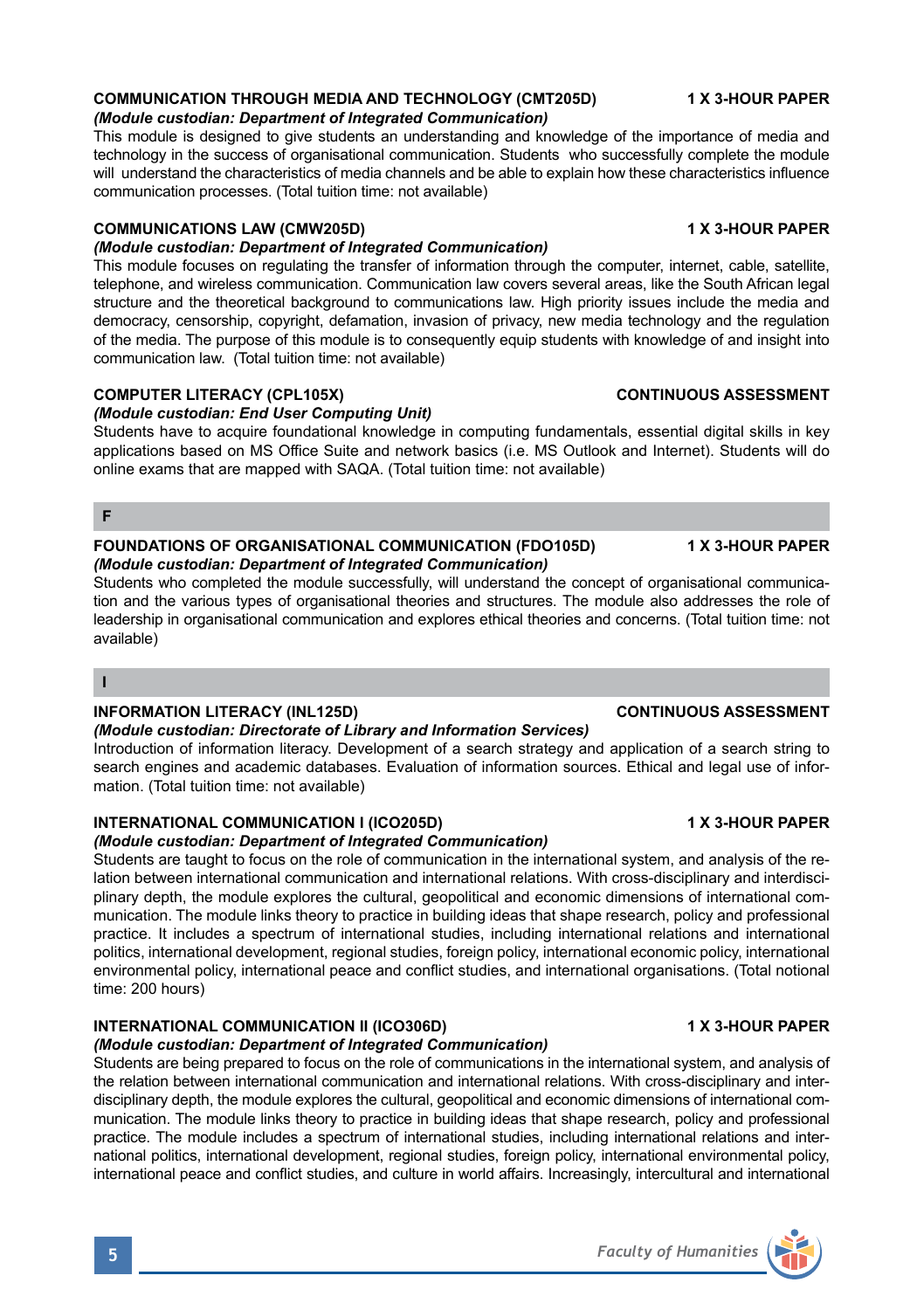# **COMMUNICATION THROUGH MEDIA AND TECHNOLOGY (CMT205D) 1 X 3-HOUR PAPER**

*(Module custodian: Department of Integrated Communication)*

This module is designed to give students an understanding and knowledge of the importance of media and technology in the success of organisational communication. Students who successfully complete the module will understand the characteristics of media channels and be able to explain how these characteristics influence communication processes. (Total tuition time: not available)

# **COMMUNICATIONS LAW (CMW205D) 1 X 3-HOUR PAPER**

*(Module custodian: Department of Integrated Communication)*

This module focuses on regulating the transfer of information through the computer, internet, cable, satellite, telephone, and wireless communication. Communication law covers several areas, like the South African legal structure and the theoretical background to communications law. High priority issues include the media and democracy, censorship, copyright, defamation, invasion of privacy, new media technology and the regulation of the media. The purpose of this module is to consequently equip students with knowledge of and insight into communication law. (Total tuition time: not available)

# **COMPUTER LITERACY (CPL105X)** COMPUTER LITERACY (CPL105X)

*(Module custodian: End User Computing Unit)*

Students have to acquire foundational knowledge in computing fundamentals, essential digital skills in key applications based on MS Office Suite and network basics (i.e. MS Outlook and Internet). Students will do online exams that are mapped with SAQA. (Total tuition time: not available)

#### **F**

#### **FOUNDATIONS OF ORGANISATIONAL COMMUNICATION (FDO105D) 1 X 3-HOUR PAPER** *(Module custodian: Department of Integrated Communication)*

Students who completed the module successfully, will understand the concept of organisational communication and the various types of organisational theories and structures. The module also addresses the role of leadership in organisational communication and explores ethical theories and concerns. (Total tuition time: not available)

### **I**

### **INFORMATION LITERACY (INL125D) CONTINUOUS ASSESSMENT**

*(Module custodian: Directorate of Library and Information Services)* 

Introduction of information literacy. Development of a search strategy and application of a search string to search engines and academic databases. Evaluation of information sources. Ethical and legal use of information. (Total tuition time: not available)

### **INTERNATIONAL COMMUNICATION I (ICO205D) 1 X 3-HOUR PAPER**

*(Module custodian: Department of Integrated Communication)*

Students are taught to focus on the role of communication in the international system, and analysis of the relation between international communication and international relations. With cross-disciplinary and interdisciplinary depth, the module explores the cultural, geopolitical and economic dimensions of international communication. The module links theory to practice in building ideas that shape research, policy and professional practice. It includes a spectrum of international studies, including international relations and international politics, international development, regional studies, foreign policy, international economic policy, international environmental policy, international peace and conflict studies, and international organisations. (Total notional time: 200 hours)

### **INTERNATIONAL COMMUNICATION II (ICO306D) 1 X 3-HOUR PAPER**

#### *(Module custodian: Department of Integrated Communication)*

Students are being prepared to focus on the role of communications in the international system, and analysis of the relation between international communication and international relations. With cross-disciplinary and interdisciplinary depth, the module explores the cultural, geopolitical and economic dimensions of international communication. The module links theory to practice in building ideas that shape research, policy and professional practice. The module includes a spectrum of international studies, including international relations and international politics, international development, regional studies, foreign policy, international environmental policy, international peace and conflict studies, and culture in world affairs. Increasingly, intercultural and international

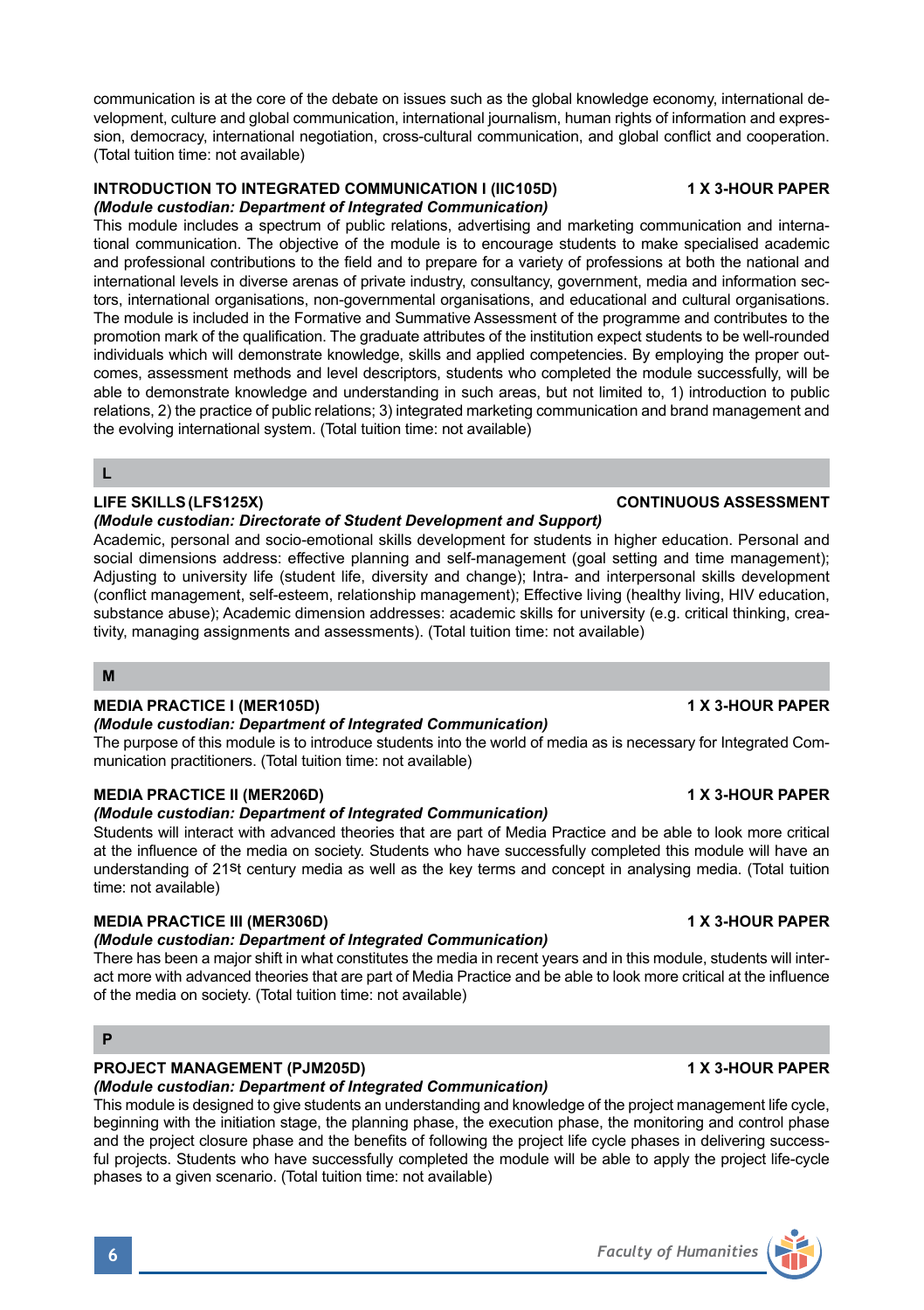communication is at the core of the debate on issues such as the global knowledge economy, international development, culture and global communication, international journalism, human rights of information and expression, democracy, international negotiation, cross-cultural communication, and global conflict and cooperation. (Total tuition time: not available)

### **INTRODUCTION TO INTEGRATED COMMUNICATION I (IIC105D) 1 X 3-HOUR PAPER** *(Module custodian: Department of Integrated Communication)*

This module includes a spectrum of public relations, advertising and marketing communication and international communication. The objective of the module is to encourage students to make specialised academic and professional contributions to the field and to prepare for a variety of professions at both the national and international levels in diverse arenas of private industry, consultancy, government, media and information sectors, international organisations, non-governmental organisations, and educational and cultural organisations. The module is included in the Formative and Summative Assessment of the programme and contributes to the promotion mark of the qualification. The graduate attributes of the institution expect students to be well-rounded individuals which will demonstrate knowledge, skills and applied competencies. By employing the proper outcomes, assessment methods and level descriptors, students who completed the module successfully, will be able to demonstrate knowledge and understanding in such areas, but not limited to, 1) introduction to public relations, 2) the practice of public relations; 3) integrated marketing communication and brand management and the evolving international system. (Total tuition time: not available)

**L**

### **LIFE SKILLS(LFS125X) CONTINUOUS ASSESSMENT**

### *(Module custodian: Directorate of Student Development and Support)*

Academic, personal and socio-emotional skills development for students in higher education. Personal and social dimensions address: effective planning and self-management (goal setting and time management); Adjusting to university life (student life, diversity and change); Intra- and interpersonal skills development (conflict management, self-esteem, relationship management); Effective living (healthy living, HIV education, substance abuse); Academic dimension addresses: academic skills for university (e.g. critical thinking, creativity, managing assignments and assessments). (Total tuition time: not available)

### **M**

### **MEDIA PRACTICE I (MER105D) 1 X 3-HOUR PAPER**

### *(Module custodian: Department of Integrated Communication)*

The purpose of this module is to introduce students into the world of media as is necessary for Integrated Communication practitioners. (Total tuition time: not available)

### **MEDIA PRACTICE II (MER206D) 1 X 3-HOUR PAPER**

#### *(Module custodian: Department of Integrated Communication)*

Students will interact with advanced theories that are part of Media Practice and be able to look more critical at the influence of the media on society. Students who have successfully completed this module will have an understanding of 21st century media as well as the key terms and concept in analysing media. (Total tuition time: not available)

### **MEDIA PRACTICE III (MER306D) 1 X 3-HOUR PAPER**

### *(Module custodian: Department of Integrated Communication)*

There has been a major shift in what constitutes the media in recent years and in this module, students will interact more with advanced theories that are part of Media Practice and be able to look more critical at the influence of the media on society. (Total tuition time: not available)

# **PROJECT MANAGEMENT (PJM205D) 1 X 3-HOUR PAPER**

# *(Module custodian: Department of Integrated Communication)*

This module is designed to give students an understanding and knowledge of the project management life cycle, beginning with the initiation stage, the planning phase, the execution phase, the monitoring and control phase and the project closure phase and the benefits of following the project life cycle phases in delivering successful projects. Students who have successfully completed the module will be able to apply the project life-cycle phases to a given scenario. (Total tuition time: not available)



**P**